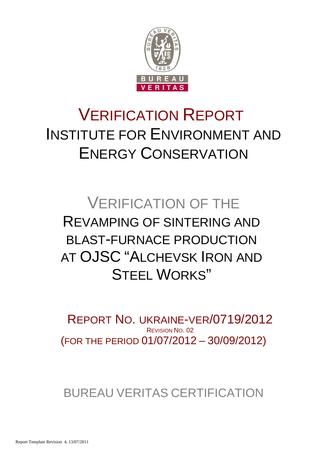

# VERIFICATION REPORT INSTITUTE FOR ENVIRONMENT AND ENERGY CONSERVATION

# VERIFICATION OF THE REVAMPING OF SINTERING AND BLAST-FURNACE PRODUCTION AT OJSC "ALCHEVSK IRON AND STEEL WORKS"

(FOR THE PERIOD 01/07/2012 – 30/09/2012) REPORT NO. UKRAINE-VER/0719/2012 REVISION NO. 02

BUREAU VERITAS CERTIFICATION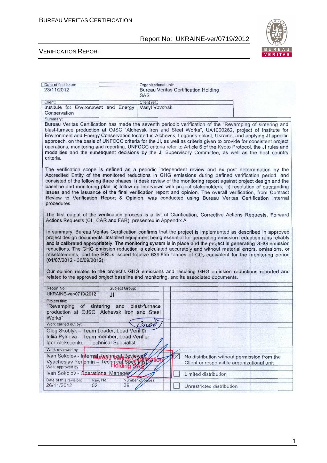

#### VERIFICATION REPORT

|                                                                                                                                                                                                                                                                                                                                                                                                                                                                                                                                                                                                                                                                                                                                                                                                                   |                |                       | Organizational unit:                                      |             |                                           |  |  |                                             |
|-------------------------------------------------------------------------------------------------------------------------------------------------------------------------------------------------------------------------------------------------------------------------------------------------------------------------------------------------------------------------------------------------------------------------------------------------------------------------------------------------------------------------------------------------------------------------------------------------------------------------------------------------------------------------------------------------------------------------------------------------------------------------------------------------------------------|----------------|-----------------------|-----------------------------------------------------------|-------------|-------------------------------------------|--|--|---------------------------------------------|
| 23/11/2012                                                                                                                                                                                                                                                                                                                                                                                                                                                                                                                                                                                                                                                                                                                                                                                                        |                |                       | <b>Bureau Veritas Certification Holding</b><br><b>SAS</b> |             |                                           |  |  |                                             |
| Client:                                                                                                                                                                                                                                                                                                                                                                                                                                                                                                                                                                                                                                                                                                                                                                                                           |                |                       |                                                           |             |                                           |  |  |                                             |
| Institute for Environment and Energy                                                                                                                                                                                                                                                                                                                                                                                                                                                                                                                                                                                                                                                                                                                                                                              |                |                       | Client ref.:<br>Vasyl Vovchak                             |             |                                           |  |  |                                             |
| Conservation                                                                                                                                                                                                                                                                                                                                                                                                                                                                                                                                                                                                                                                                                                                                                                                                      |                |                       |                                                           |             |                                           |  |  |                                             |
| Summary:                                                                                                                                                                                                                                                                                                                                                                                                                                                                                                                                                                                                                                                                                                                                                                                                          |                |                       |                                                           |             |                                           |  |  |                                             |
| Bureau Veritas Certification has made the seventh periodic verification of the "Revamping of sintering and<br>blast-furnace production at OJSC "Alchevsk Iron and Steel Works", UA1000262, project of Institute for<br>Environment and Energy Conservation located in Alchevsk, Lugansk oblast, Ukraine, and applying JI specific<br>approach, on the basis of UNFCCC criteria for the JI, as well as criteria given to provide for consistent project<br>operations, monitoring and reporting. UNFCCC criteria refer to Article 6 of the Kyoto Protocol, the JI rules and<br>modalities and the subsequent decisions by the JI Supervisory Committee, as well as the host country<br>criteria.                                                                                                                   |                |                       |                                                           |             |                                           |  |  |                                             |
| The verification scope is defined as a periodic independent review and ex post determination by the<br>Accredited Entity of the monitored reductions in GHG emissions during defined verification period, and<br>consisted of the following three phases: i) desk review of the monitoring report against project design and the<br>baseline and monitoring plan; ii) follow-up interviews with project stakeholders; iii) resolution of outstanding<br>issues and the issuance of the final verification report and opinion. The overall verification, from Contract<br>Review to Verification Report & Opinion, was conducted using Bureau Veritas Certification internal<br>procedures.                                                                                                                        |                |                       |                                                           |             |                                           |  |  |                                             |
| The first output of the verification process is a list of Clarification, Corrective Actions Requests, Forward                                                                                                                                                                                                                                                                                                                                                                                                                                                                                                                                                                                                                                                                                                     |                |                       |                                                           |             |                                           |  |  |                                             |
| Actions Requests (CL, CAR and FAR), presented in Appendix A.                                                                                                                                                                                                                                                                                                                                                                                                                                                                                                                                                                                                                                                                                                                                                      |                |                       |                                                           |             |                                           |  |  |                                             |
| In summary, Bureau Veritas Certification confirms that the project is implemented as described in approved<br>project design documents. Installed equipment being essential for generating emission reduction runs reliably<br>and is calibrated appropriately. The monitoring system is in place and the project is generating GHG emission<br>reductions. The GHG emission reduction is calculated accurately and without material errors, omissions, or<br>misstatements, and the ERUs issued totalize 639 855 tonnes of CO <sub>2</sub> equivalent for the monitoring period<br>(01/07/2012 - 30/09/2012).<br>Our opinion relates to the project's GHG emissions and resulting GHG emission reductions reported and<br>related to the approved project baseline and monitoring, and its associated documents. |                |                       |                                                           |             |                                           |  |  |                                             |
|                                                                                                                                                                                                                                                                                                                                                                                                                                                                                                                                                                                                                                                                                                                                                                                                                   |                |                       |                                                           |             |                                           |  |  |                                             |
| Report No.:                                                                                                                                                                                                                                                                                                                                                                                                                                                                                                                                                                                                                                                                                                                                                                                                       |                | <b>Subject Group:</b> |                                                           |             |                                           |  |  |                                             |
| <b>UKRAINE-ver/0719/2012</b>                                                                                                                                                                                                                                                                                                                                                                                                                                                                                                                                                                                                                                                                                                                                                                                      | J <sub>l</sub> |                       |                                                           |             |                                           |  |  |                                             |
| Project title:<br>"Revamping<br>production at OJSC "Alchevsk Iron and Steel<br>Works"                                                                                                                                                                                                                                                                                                                                                                                                                                                                                                                                                                                                                                                                                                                             | of sintering   | and                   | blast-furnace                                             |             |                                           |  |  |                                             |
| Work carried out by:                                                                                                                                                                                                                                                                                                                                                                                                                                                                                                                                                                                                                                                                                                                                                                                              |                |                       |                                                           |             |                                           |  |  |                                             |
| Oleg Skoblyk - Team Leader, Lead Verifier<br>Iuliia Pylnova - Team member, Lead Verifier<br>Igor Alekseenko - Technical Specialist                                                                                                                                                                                                                                                                                                                                                                                                                                                                                                                                                                                                                                                                                |                |                       |                                                           |             |                                           |  |  |                                             |
| Work reviewed by:                                                                                                                                                                                                                                                                                                                                                                                                                                                                                                                                                                                                                                                                                                                                                                                                 |                |                       |                                                           |             |                                           |  |  |                                             |
| Ivan Sokolov - Internal Technical Reviewer<br>Vyacheslav Yeriomin - Technical Specialisto                                                                                                                                                                                                                                                                                                                                                                                                                                                                                                                                                                                                                                                                                                                         |                | Holding SAN           |                                                           | $\boxtimes$ | Client or responsible organizational unit |  |  | No distribution without permission from the |
| Work approved by:<br>Ivan Sokolov - Operational Manager                                                                                                                                                                                                                                                                                                                                                                                                                                                                                                                                                                                                                                                                                                                                                           |                |                       |                                                           |             |                                           |  |  |                                             |
| Date of this revision:                                                                                                                                                                                                                                                                                                                                                                                                                                                                                                                                                                                                                                                                                                                                                                                            | Rev. No.:      | Number of pages:      |                                                           |             | Limited distribution                      |  |  |                                             |

1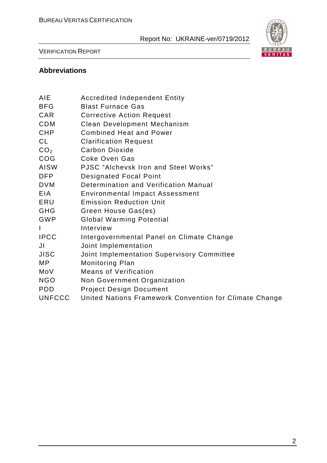

#### VERIFICATION REPORT

#### **Abbreviations**

| AIE             | <b>Accredited Independent Entity</b>                   |
|-----------------|--------------------------------------------------------|
| <b>BFG</b>      | <b>Blast Furnace Gas</b>                               |
| CAR             | <b>Corrective Action Request</b>                       |
| <b>CDM</b>      | <b>Clean Development Mechanism</b>                     |
| <b>CHP</b>      | <b>Combined Heat and Power</b>                         |
| <b>CL</b>       | <b>Clarification Request</b>                           |
| CO <sub>2</sub> | <b>Carbon Dioxide</b>                                  |
| COG             | <b>Coke Oven Gas</b>                                   |
| <b>AISW</b>     | <b>PJSC</b> "Alchevsk Iron and Steel Works"            |
| <b>DFP</b>      | <b>Designated Focal Point</b>                          |
| <b>DVM</b>      | Determination and Verification Manual                  |
| EIA             | <b>Environmental Impact Assessment</b>                 |
| ERU             | <b>Emission Reduction Unit</b>                         |
| <b>GHG</b>      | Green House Gas(es)                                    |
| <b>GWP</b>      | <b>Global Warming Potential</b>                        |
| I               | Interview                                              |
| <b>IPCC</b>     | Intergovernmental Panel on Climate Change              |
| JI              | Joint Implementation                                   |
| <b>JISC</b>     | Joint Implementation Supervisory Committee             |
| MP              | <b>Monitoring Plan</b>                                 |
| MoV             | <b>Means of Verification</b>                           |
| <b>NGO</b>      | Non Government Organization                            |
| <b>PDD</b>      | <b>Project Design Document</b>                         |
| <b>UNFCCC</b>   | United Nations Framework Convention for Climate Change |
|                 |                                                        |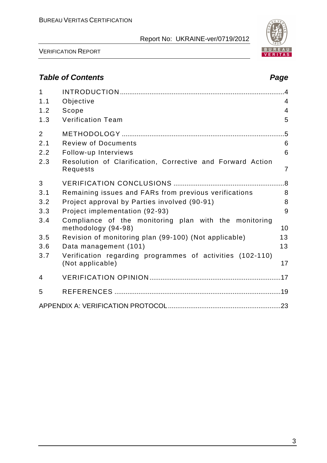

VERIFICATION REPORT

# **Table of Contents Page 2018**

| 'age |
|------|
|      |

| $\mathbf{1}$   |                                                                               |                |
|----------------|-------------------------------------------------------------------------------|----------------|
| 1.1            | Objective                                                                     | $\overline{4}$ |
| 1.2            | Scope                                                                         | $\overline{4}$ |
| 1.3            | <b>Verification Team</b>                                                      | 5              |
| $\overline{2}$ |                                                                               | $.5\,$         |
| 2.1            | <b>Review of Documents</b>                                                    | 6              |
| 2.2            | Follow-up Interviews                                                          | 6              |
| 2.3            | Resolution of Clarification, Corrective and Forward Action<br>Requests        | $\overline{7}$ |
| 3              |                                                                               |                |
| 3.1            | Remaining issues and FARs from previous verifications                         | 8              |
| 3.2            | Project approval by Parties involved (90-91)                                  | 8              |
| 3.3            | Project implementation (92-93)                                                | 9              |
| 3.4            | Compliance of the monitoring plan with the monitoring<br>methodology (94-98)  | 10             |
| 3.5            | Revision of monitoring plan (99-100) (Not applicable)                         | 13             |
| 3.6            | Data management (101)                                                         | 13             |
| 3.7            | Verification regarding programmes of activities (102-110)<br>(Not applicable) | 17             |
| 4              |                                                                               |                |
| 5              |                                                                               |                |
|                |                                                                               |                |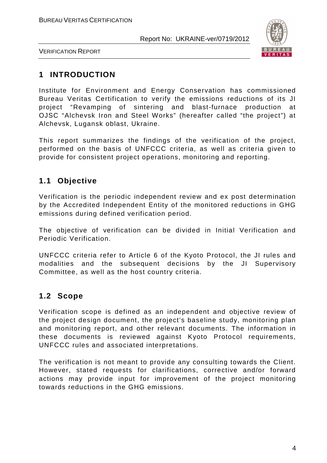

VERIFICATION REPORT

# **1 INTRODUCTION**

Institute for Environment and Energy Conservation has commissioned Bureau Veritas Certification to verify the emissions reductions of its JI project "Revamping of sintering and blast-furnace production at OJSC "Alchevsk Iron and Steel Works" (hereafter called "the project") at Alchevsk, Lugansk oblast, Ukraine.

This report summarizes the findings of the verification of the project, performed on the basis of UNFCCC criteria, as well as criteria given to provide for consistent project operations, monitoring and reporting.

# **1.1 Objective**

Verification is the periodic independent review and ex post determination by the Accredited Independent Entity of the monitored reductions in GHG emissions during defined verification period.

The objective of verification can be divided in Initial Verification and Periodic Verification.

UNFCCC criteria refer to Article 6 of the Kyoto Protocol, the JI rules and modalities and the subsequent decisions by the JI Supervisory Committee, as well as the host country criteria.

## **1.2 Scope**

Verification scope is defined as an independent and objective review of the project design document, the project's baseline study, monitoring plan and monitoring report, and other relevant documents. The information in these documents is reviewed against Kyoto Protocol requirements, UNFCCC rules and associated interpretations.

The verification is not meant to provide any consulting towards the Client. However, stated requests for clarifications, corrective and/or forward actions may provide input for improvement of the project monitoring towards reductions in the GHG emissions.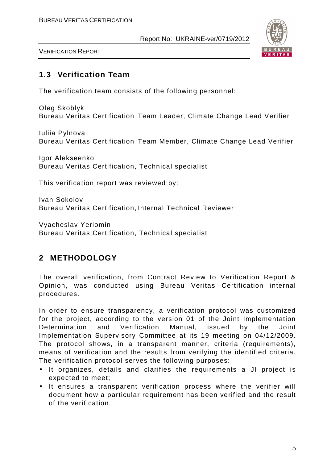

VERIFICATION REPORT

#### **1.3 Verification Team**

The verification team consists of the following personnel:

Oleg Skoblyk Bureau Veritas Certification Team Leader, Climate Change Lead Verifier

Iuliia Pylnova Bureau Veritas Certification Team Member, Climate Change Lead Verifier

Igor Alekseenko Bureau Veritas Certification, Technical specialist

This verification report was reviewed by:

Ivan Sokolov Bureau Veritas Certification, Internal Technical Reviewer

Vyacheslav Yeriomin Bureau Veritas Certification, Technical specialist

# **2 METHODOLOGY**

The overall verification, from Contract Review to Verification Report & Opinion, was conducted using Bureau Veritas Certification internal procedures.

In order to ensure transparency, a verification protocol was customized for the project, according to the version 01 of the Joint Implementation Determination and Verification Manual, issued by the Joint Implementation Supervisory Committee at its 19 meeting on 04/12/2009. The protocol shows, in a transparent manner, criteria (requirements), means of verification and the results from verifying the identified criteria. The verification protocol serves the following purposes:

- It organizes, details and clarifies the requirements a JI project is expected to meet;
- It ensures a transparent verification process where the verifier will document how a particular requirement has been verified and the result of the verification.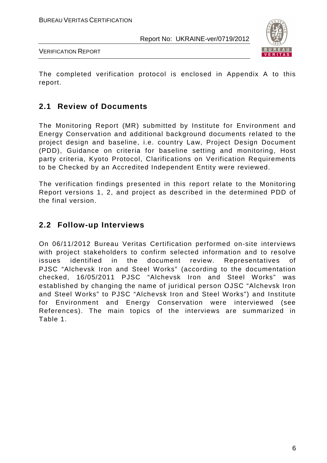

VERIFICATION REPORT

The completed verification protocol is enclosed in Appendix A to this report.

#### **2.1 Review of Documents**

The Monitoring Report (MR) submitted by Institute for Environment and Energy Conservation and additional background documents related to the project design and baseline, i.e. country Law, Project Design Document (PDD), Guidance on criteria for baseline setting and monitoring, Host party criteria, Kyoto Protocol, Clarifications on Verification Requirements to be Checked by an Accredited Independent Entity were reviewed.

The verification findings presented in this report relate to the Monitoring Report versions 1, 2, and project as described in the determined PDD of the final version.

#### **2.2 Follow-up Interviews**

On 06/11/2012 Bureau Veritas Certification performed on-site interviews with project stakeholders to confirm selected information and to resolve issues identified in the document review. Representatives of PJSC "Alchevsk Iron and Steel Works" (according to the documentation checked, 16/05/2011 PJSC "Alchevsk Iron and Steel Works" was established by changing the name of juridical person OJSC "Alchevsk Iron and Steel Works" to PJSC "Alchevsk Iron and Steel Works") and Institute for Environment and Energy Conservation were interviewed (see References). The main topics of the interviews are summarized in Table 1.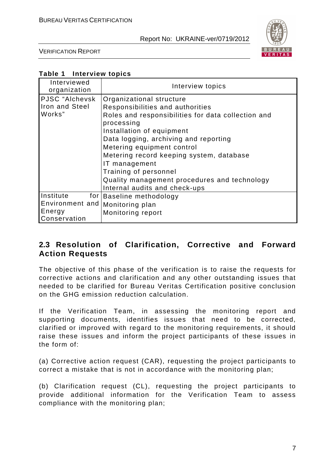

VERIFICATION REPORT

#### **Table 1 Interview topics**

| Interviewed<br>organization                                                       | Interview topics                                                                                                                                                                                                                                                                                                                                                                                            |
|-----------------------------------------------------------------------------------|-------------------------------------------------------------------------------------------------------------------------------------------------------------------------------------------------------------------------------------------------------------------------------------------------------------------------------------------------------------------------------------------------------------|
| PJSC "Alchevsk<br>Iron and Steel<br>Works"                                        | Organizational structure<br>Responsibilities and authorities<br>Roles and responsibilities for data collection and<br>processing<br>Installation of equipment<br>Data logging, archiving and reporting<br>Metering equipment control<br>Metering record keeping system, database<br>IT management<br>Training of personnel<br>Quality management procedures and technology<br>Internal audits and check-ups |
| Institute<br>for I<br>Environment and   Monitoring plan<br>Energy<br>Conservation | Baseline methodology<br>Monitoring report                                                                                                                                                                                                                                                                                                                                                                   |

#### **2.3 Resolution of Clarification, Corrective and Forward Action Requests**

The objective of this phase of the verification is to raise the requests for corrective actions and clarification and any other outstanding issues that needed to be clarified for Bureau Veritas Certification positive conclusion on the GHG emission reduction calculation.

If the Verification Team, in assessing the monitoring report and supporting documents, identifies issues that need to be corrected, clarified or improved with regard to the monitoring requirements, it should raise these issues and inform the project participants of these issues in the form of:

(a) Corrective action request (CAR), requesting the project participants to correct a mistake that is not in accordance with the monitoring plan;

(b) Clarification request (CL), requesting the project participants to provide additional information for the Verification Team to assess compliance with the monitoring plan;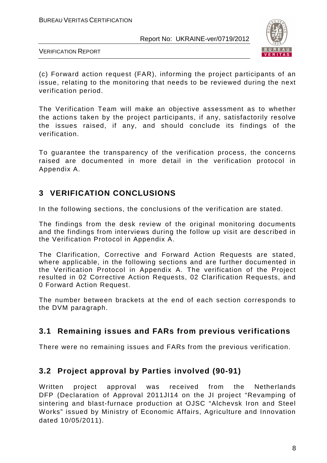

VERIFICATION REPORT

(c) Forward action request (FAR), informing the project participants of an issue, relating to the monitoring that needs to be reviewed during the next verification period.

The Verification Team will make an objective assessment as to whether the actions taken by the project participants, if any, satisfactorily resolve the issues raised, if any, and should conclude its findings of the verification.

To guarantee the transparency of the verification process, the concerns raised are documented in more detail in the verification protocol in Appendix A.

# **3 VERIFICATION CONCLUSIONS**

In the following sections, the conclusions of the verification are stated.

The findings from the desk review of the original monitoring documents and the findings from interviews during the follow up visit are described in the Verification Protocol in Appendix A.

The Clarification, Corrective and Forward Action Requests are stated, where applicable, in the following sections and are further documented in the Verification Protocol in Appendix A. The verification of the Project resulted in 02 Corrective Action Requests, 02 Clarification Requests, and 0 Forward Action Request.

The number between brackets at the end of each section corresponds to the DVM paragraph.

## **3.1 Remaining issues and FARs from previous verifications**

There were no remaining issues and FARs from the previous verification.

## **3.2 Project approval by Parties involved (90-91)**

Written project approval was received from the Netherlands DFP (Declaration of Approval 2011JI14 on the JI project "Revamping of sintering and blast-furnace production at OJSC "Alchevsk Iron and Steel Works" issued by Ministry of Economic Affairs, Agriculture and Innovation dated 10/05/2011).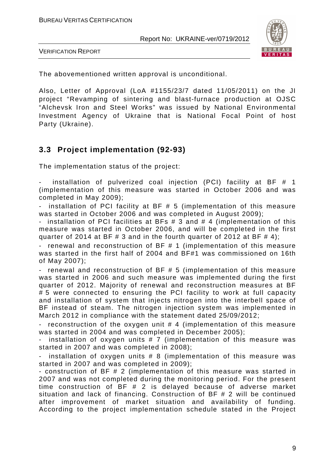

VERIFICATION REPORT

The abovementioned written approval is unconditional.

Also, Letter of Approval (LoA #1155/23/7 dated 11/05/2011) on the JI project "Revamping of sintering and blast-furnace production at OJSC "Alchevsk Iron and Steel Works" was issued by National Environmental Investment Agency of Ukraine that is National Focal Point of host Party (Ukraine).

#### **3.3 Project implementation (92-93)**

The implementation status of the project:

installation of pulverized coal injection (PCI) facility at BF  $#$  1 (implementation of this measure was started in October 2006 and was completed in May 2009);

installation of PCI facility at BF  $# 5$  (implementation of this measure was started in October 2006 and was completed in August 2009);

installation of PCI facilities at BFs  $# 3$  and  $# 4$  (implementation of this measure was started in October 2006, and will be completed in the first quarter of 2014 at BF  $\#$  3 and in the fourth quarter of 2012 at BF  $\#$  4);

renewal and reconstruction of  $BF # 1$  (implementation of this measure was started in the first half of 2004 and BF#1 was commissioned on 16th of May 2007);

- renewal and reconstruction of BF # 5 (implementation of this measure was started in 2006 and such measure was implemented during the first quarter of 2012. Majority of renewal and reconstruction measures at BF # 5 were connected to ensuring the PCI facility to work at full capacity and installation of system that injects nitrogen into the interbell space of BF instead of steam. The nitrogen injection system was implemented in March 2012 in compliance with the statement dated 25/09/2012;

reconstruction of the oxygen unit  $#$  4 (implementation of this measure was started in 2004 and was completed in December 2005);

installation of oxygen units  $# 7$  (implementation of this measure was started in 2007 and was completed in 2008);

installation of oxygen units  $# 8$  (implementation of this measure was started in 2007 and was completed in 2009);

- construction of BF # 2 (implementation of this measure was started in 2007 and was not completed during the monitoring period. For the present time construction of BF # 2 is delayed because of adverse market situation and lack of financing. Construction of BF # 2 will be continued after improvement of market situation and availability of funding. According to the project implementation schedule stated in the Project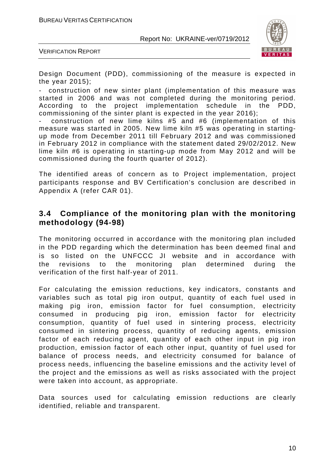BUREAU VERITAS CERTIFICATION

Report No: UKRAINE-ver/0719/2012



VERIFICATION REPORT

Design Document (PDD), commissioning of the measure is expected in the year 2015);

- construction of new sinter plant (implementation of this measure was started in 2006 and was not completed during the monitoring period. According to the project implementation schedule in the PDD, commissioning of the sinter plant is expected in the year 2016);

- construction of new lime kilns #5 and #6 (implementation of this measure was started in 2005. New lime kiln #5 was operating in startingup mode from December 2011 till February 2012 and was commissioned in February 2012 in compliance with the statement dated 29/02/2012. New lime kiln #6 is operating in starting-up mode from May 2012 and will be commissioned during the fourth quarter of 2012).

The identified areas of concern as to Project implementation, project participants response and BV Certification's conclusion are described in Appendix A (refer СAR 01).

#### **3.4 Compliance of the monitoring plan with the monitoring methodology (94-98)**

The monitoring occurred in accordance with the monitoring plan included in the PDD regarding which the determination has been deemed final and is so listed on the UNFCCC JI website and in accordance with the revisions to the monitoring plan determined during the verification of the first half-year of 2011.

For calculating the emission reductions, key indicators, constants and variables such as total pig iron output, quantity of each fuel used in making pig iron, emission factor for fuel consumption, electricity consumed in producing pig iron, emission factor for electricity consumption, quantity of fuel used in sintering process, electricity consumed in sintering process, quantity of reducing agents, emission factor of each reducing agent, quantity of each other input in pig iron production, emission factor of each other input, quantity of fuel used for balance of process needs, and electricity consumed for balance of process needs, influencing the baseline emissions and the activity level of the project and the emissions as well as risks associated with the project were taken into account, as appropriate.

Data sources used for calculating emission reductions are clearly identified, reliable and transparent.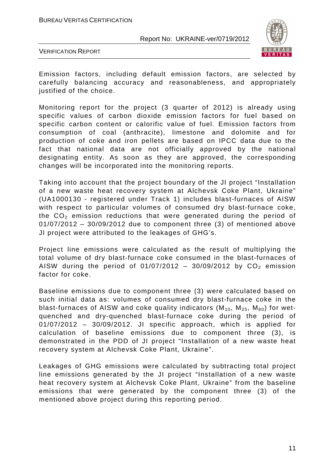

VERIFICATION REPORT

Emission factors, including default emission factors, are selected by carefully balancing accuracy and reasonableness, and appropriately justified of the choice.

Monitoring report for the project (3 quarter of 2012) is already using specific values of carbon dioxide emission factors for fuel based on specific carbon content or calorific value of fuel. Emission factors from consumption of coal (anthracite), limestone and dolomite and for production of coke and iron pellets are based on IPCC data due to the fact that national data are not officially approved by the national designating entity. As soon as they are approved, the corresponding changes will be incorporated into the monitoring reports.

Taking into account that the project boundary of the JI project "Installation of a new waste heat recovery system at Alchevsk Coke Plant, Ukraine" (UA1000130 - registered under Track 1) includes blast-furnaces of AISW with respect to particular volumes of consumed dry blast-furnace coke, the  $CO<sub>2</sub>$  emission reductions that were generated during the period of 01/07/2012 – 30/09/2012 due to component three (3) of mentioned above JI project were attributed to the leakages of GHG's.

Project line emissions were calculated as the result of multiplying the total volume of dry blast-furnace coke consumed in the blast-furnaces of AISW during the period of  $01/07/2012 - 30/09/2012$  by  $CO<sub>2</sub>$  emission factor for coke.

Baseline emissions due to component three (3) were calculated based on such initial data as: volumes of consumed dry blast-furnace coke in the blast-furnaces of AISW and coke quality indicators  $(M_{10}, M_{25}, M_{80})$  for wetquenched and dry-quenched blast-furnace coke during the period of 01/07/2012 – 30/09/2012. JI specific approach, which is applied for calculation of baseline emissions due to component three (3), is demonstrated in the PDD of JI project "Installation of a new waste heat recovery system at Alchevsk Coke Plant, Ukraine".

Leakages of GHG emissions were calculated by subtracting total project line emissions generated by the JI project "Installation of a new waste heat recovery system at Alchevsk Coke Plant, Ukraine" from the baseline emissions that were generated by the component three (3) of the mentioned above project during this reporting period.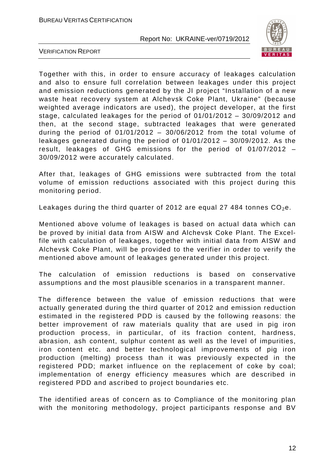

VERIFICATION REPORT

Together with this, in order to ensure accuracy of leakages calculation and also to ensure full correlation between leakages under this project and emission reductions generated by the JI project "Installation of a new waste heat recovery system at Alchevsk Coke Plant, Ukraine" (because weighted average indicators are used), the project developer, at the first stage, calculated leakages for the period of 01/01/2012 – 30/09/2012 and then, at the second stage, subtracted leakages that were generated during the period of  $01/01/2012 - 30/06/2012$  from the total volume of leakages generated during the period of 01/01/2012 – 30/09/2012. As the result, leakages of GHG emissions for the period of 01/07/2012 – 30/09/2012 were accurately calculated.

After that, leakages of GHG emissions were subtracted from the total volume of emission reductions associated with this project during this monitoring period.

Leakages during the third quarter of 2012 are equal 27 484 tonnes  $CO<sub>2</sub>e$ .

Mentioned above volume of leakages is based on actual data which can be proved by initial data from AISW and Alchevsk Coke Plant. The Excelfile with calculation of leakages, together with initial data from AISW and Alchevsk Coke Plant, will be provided to the verifier in order to verify the mentioned above amount of leakages generated under this project.

The calculation of emission reductions is based on conservative assumptions and the most plausible scenarios in a transparent manner.

 The difference between the value of emission reductions that were actually generated during the third quarter of 2012 and emission reduction estimated in the registered PDD is caused by the following reasons: the better improvement of raw materials quality that are used in pig iron production process, in particular, of its fraction content, hardness, abrasion, ash content, sulphur content as well as the level of impurities, iron content etc. and better technological improvements of pig iron production (melting) process than it was previously expected in the registered PDD; market influence on the replacement of coke by coal; implementation of energy efficiency measures which are described in registered PDD and ascribed to project boundaries etc.

The identified areas of concern as to Compliance of the monitoring plan with the monitoring methodology, project participants response and BV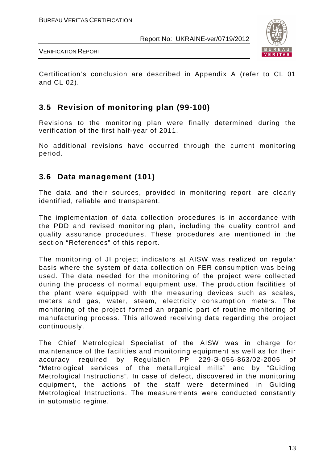

VERIFICATION REPORT

Certification's conclusion are described in Appendix A (refer to CL 01 and CL 02).

## **3.5 Revision of monitoring plan (99-100)**

Revisions to the monitoring plan were finally determined during the verification of the first half-year of 2011.

No additional revisions have occurred through the current monitoring period.

#### **3.6 Data management (101)**

The data and their sources, provided in monitoring report, are clearly identified, reliable and transparent.

The implementation of data collection procedures is in accordance with the PDD and revised monitoring plan, including the quality control and quality assurance procedures. These procedures are mentioned in the section "References" of this report.

The monitoring of JI project indicators at AISW was realized on regular basis where the system of data collection on FER consumption was being used. The data needed for the monitoring of the project were collected during the process of normal equipment use. The production facilities of the plant were equipped with the measuring devices such as scales, meters and gas, water, steam, electricity consumption meters. The monitoring of the project formed an organic part of routine monitoring of manufacturing process. This allowed receiving data regarding the project continuously.

The Chief Metrological Specialist of the AISW was in charge for maintenance of the facilities and monitoring equipment as well as for their accuracy required by Regulation PP 229-Э-056-863/02-2005 of "Metrological services of the metallurgical mills" and by "Guiding Metrological Instructions". In case of defect, discovered in the monitoring equipment, the actions of the staff were determined in Guiding Metrological Instructions. The measurements were conducted constantly in automatic regime.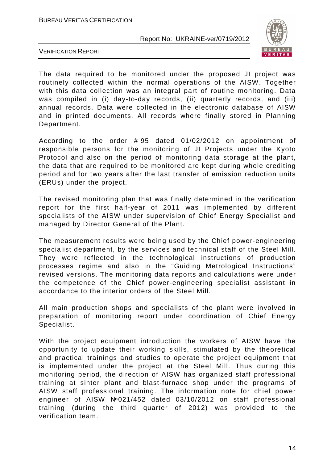

VERIFICATION REPORT

The data required to be monitored under the proposed JI project was routinely collected within the normal operations of the AISW. Together with this data collection was an integral part of routine monitoring. Data was compiled in (i) day-to-day records, (ii) quarterly records, and (iii) annual records. Data were collected in the electronic database of AISW and in printed documents. All records where finally stored in Planning Department.

According to the order # 95 dated 01/02/2012 on appointment of responsible persons for the monitoring of JI Projects under the Kyoto Protocol and also on the period of monitoring data storage at the plant, the data that are required to be monitored are kept during whole crediting period and for two years after the last transfer of emission reduction units (ERUs) under the project.

The revised monitoring plan that was finally determined in the verification report for the first half-year of 2011 was implemented by different specialists of the AISW under supervision of Chief Energy Specialist and managed by Director General of the Plant.

The measurement results were being used by the Chief power-engineering specialist department, by the services and technical staff of the Steel Mill. They were reflected in the technological instructions of production processes regime and also in the "Guiding Metrological Instructions" revised versions. The monitoring data reports and calculations were under the competence of the Chief power-engineering specialist assistant in accordance to the interior orders of the Steel Mill.

All main production shops and specialists of the plant were involved in preparation of monitoring report under coordination of Chief Energy Specialist.

With the project equipment introduction the workers of AISW have the opportunity to update their working skills, stimulated by the theoretical and practical trainings and studies to operate the project equipment that is implemented under the project at the Steel Mill. Thus during this monitoring period, the direction of AISW has organized staff professional training at sinter plant and blast-furnace shop under the programs of AISW staff professional training. The information note for chief power engineer of AISW №021/452 dated 03/10/2012 on staff professional training (during the third quarter of 2012) was provided to the verification team.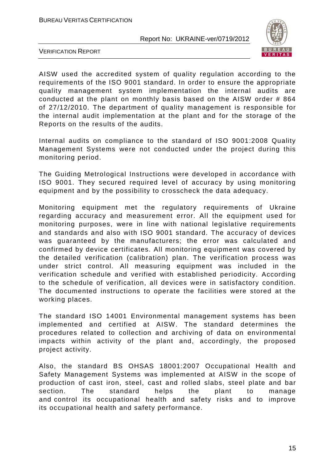

VERIFICATION REPORT

AISW used the accredited system of quality regulation according to the requirements of the ISO 9001 standard. In order to ensure the appropriate quality management system implementation the internal audits are conducted at the plant on monthly basis based on the AISW order # 864 of 27/12/2010. The department of quality management is responsible for the internal audit implementation at the plant and for the storage of the Reports on the results of the audits.

Internal audits on compliance to the standard of ISO 9001:2008 Quality Management Systems were not conducted under the project during this monitoring period.

The Guiding Metrological Instructions were developed in accordance with ISO 9001. They secured required level of accuracy by using monitoring equipment and by the possibility to crosscheck the data adequacy.

Monitoring equipment met the regulatory requirements of Ukraine regarding accuracy and measurement error. All the equipment used for monitoring purposes, were in line with national legislative requirements and standards and also with ISO 9001 standard. The accuracy of devices was guaranteed by the manufacturers; the error was calculated and confirmed by device certificates. All monitoring equipment was covered by the detailed verification (calibration) plan. The verification process was under strict control. All measuring equipment was included in the verification schedule and verified with established periodicity. According to the schedule of verification, all devices were in satisfactory condition. The documented instructions to operate the facilities were stored at the working places.

The standard ISO 14001 Environmental management systems has been implemented and certified at AISW. The standard determines the procedures related to collection and archiving of data on environmental impacts within activity of the plant and, accordingly, the proposed project activity.

Also, the standard BS OHSAS 18001:2007 Occupational Health and Safety Management Systems was implemented at AISW in the scope of production of cast iron, steel, cast and rolled slabs, steel plate and bar section. The standard helps the plant to manage and control its occupational health and safety risks and to improve its occupational health and safety performance.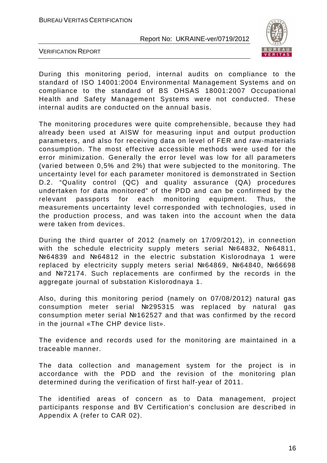

VERIFICATION REPORT

During this monitoring period, internal audits on compliance to the standard of ISO 14001:2004 Environmental Management Systems and on compliance to the standard of BS OHSAS 18001:2007 Occupational Health and Safety Management Systems were not conducted. These internal audits are conducted on the annual basis.

The monitoring procedures were quite comprehensible, because they had already been used at AISW for measuring input and output production parameters, and also for receiving data on level of FER and raw-materials consumption. The most effective accessible methods were used for the error minimization. Generally the error level was low for all parameters (varied between 0,5% and 2%) that were subjected to the monitoring. The uncertainty level for each parameter monitored is demonstrated in Section D.2. "Quality control (QC) and quality assurance (QA) procedures undertaken for data monitored" of the PDD and can be confirmed by the relevant passports for each monitoring equipment. Thus, the measurements uncertainty level corresponded with technologies, used in the production process, and was taken into the account when the data were taken from devices.

During the third quarter of 2012 (namely on 17/09/2012), in connection with the schedule electricity supply meters serial №64832, №64811, №64839 and №64812 in the electric substation Kislorodnaya 1 were replaced by electricity supply meters serial №64869, №64840, №66698 and №72174. Such replacements are confirmed by the records in the aggregate journal of substation Kislorodnaya 1.

Also, during this monitoring period (namely on 07/08/2012) natural gas consumption meter serial №295315 was replaced by natural gas consumption meter serial №162527 and that was confirmed by the record in the journal «The CHP device list».

The evidence and records used for the monitoring are maintained in a traceable manner.

The data collection and management system for the project is in accordance with the PDD and the revision of the monitoring plan determined during the verification of first half-year of 2011.

The identified areas of concern as to Data management, project participants response and BV Certification's conclusion are described in Appendix A (refer to CAR 02).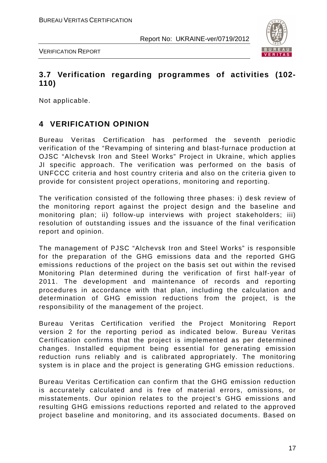

VERIFICATION REPORT

#### **3.7 Verification regarding programmes of activities (102- 110)**

Not applicable.

# **4 VERIFICATION OPINION**

Bureau Veritas Certification has performed the seventh periodic verification of the "Revamping of sintering and blast-furnace production at OJSC "Alchevsk Iron and Steel Works" Project in Ukraine, which applies JI specific approach. The verification was performed on the basis of UNFCCC criteria and host country criteria and also on the criteria given to provide for consistent project operations, monitoring and reporting.

The verification consisted of the following three phases: i) desk review of the monitoring report against the project design and the baseline and monitoring plan; ii) follow-up interviews with project stakeholders; iii) resolution of outstanding issues and the issuance of the final verification report and opinion.

The management of PJSC "Alchevsk Iron and Steel Works" is responsible for the preparation of the GHG emissions data and the reported GHG emissions reductions of the project on the basis set out within the revised Monitoring Plan determined during the verification of first half-year of 2011. The development and maintenance of records and reporting procedures in accordance with that plan, including the calculation and determination of GHG emission reductions from the project, is the responsibility of the management of the project.

Bureau Veritas Certification verified the Project Monitoring Report version 2 for the reporting period as indicated below. Bureau Veritas Certification confirms that the project is implemented as per determined changes. Installed equipment being essential for generating emission reduction runs reliably and is calibrated appropriately. The monitoring system is in place and the project is generating GHG emission reductions.

Bureau Veritas Certification can confirm that the GHG emission reduction is accurately calculated and is free of material errors, omissions, or misstatements. Our opinion relates to the project's GHG emissions and resulting GHG emissions reductions reported and related to the approved project baseline and monitoring, and its associated documents. Based on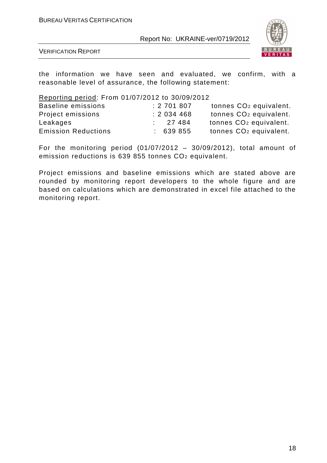

VERIFICATION REPORT

the information we have seen and evaluated, we confirm, with a reasonable level of assurance, the following statement:

Reporting period: From 01/07/2012 to 30/09/2012

| Baseline emissions         | : 2701807 | tonnes CO <sub>2</sub> equivalent. |
|----------------------------|-----------|------------------------------------|
| Project emissions          | : 2034468 | tonnes CO <sub>2</sub> equivalent. |
| Leakages                   | : 27484   | tonnes CO <sub>2</sub> equivalent. |
| <b>Emission Reductions</b> | : 639855  | tonnes CO <sub>2</sub> equivalent. |

For the monitoring period  $(01/07/2012 - 30/09/2012)$ , total amount of emission reductions is 639 855 tonnes CO2 equivalent.

Project emissions and baseline emissions which are stated above are rounded by monitoring report developers to the whole figure and are based on calculations which are demonstrated in excel file attached to the monitoring report.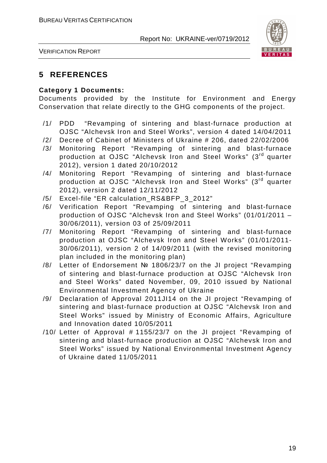

VERIFICATION REPORT

## **5 REFERENCES**

#### **Category 1 Documents:**

Documents provided by the Institute for Environment and Energy Conservation that relate directly to the GHG components of the project.

- /1/ PDD "Revamping of sintering and blast-furnace production at OJSC "Alchevsk Iron and Steel Works", version 4 dated 14/04/2011
- /2/ Decree of Cabinet of Ministers of Ukraine # 206, dated 22/02/2006
- /3/ Monitoring Report "Revamping of sintering and blast-furnace production at OJSC "Alchevsk Iron and Steel Works" (3rd quarter 2012), version 1 dated 20/10/2012
- /4/ Monitoring Report "Revamping of sintering and blast-furnace production at OJSC "Alchevsk Iron and Steel Works" (3rd quarter 2012), version 2 dated 12/11/2012
- /5/ Excel-file "ER calculation\_RS&BFP\_3\_2012"
- /6/ Verification Report "Revamping of sintering and blast-furnace production of OJSC "Alchevsk Iron and Steel Works" (01/01/2011 – 30/06/2011), version 03 of 25/09/2011
- /7/ Monitoring Report "Revamping of sintering and blast-furnace production at OJSC "Alchevsk Iron and Steel Works" (01/01/2011- 30/06/2011), version 2 of 14/09/2011 (with the revised monitoring plan included in the monitoring plan)
- /8/ Letter of Endorsement № 1806/23/7 on the JI project "Revamping of sintering and blast-furnace production at OJSC "Alchevsk Iron and Steel Works" dated November, 09, 2010 issued by National Environmental Investment Agency of Ukraine
- /9/ Declaration of Approval 2011JI14 on the JI project "Revamping of sintering and blast-furnace production at OJSC "Alchevsk Iron and Steel Works" issued by Ministry of Economic Affairs, Agriculture and Innovation dated 10/05/2011
- /10/ Letter of Approval # 1155/23/7 on the JI project "Revamping of sintering and blast-furnace production at OJSC "Alchevsk Iron and Steel Works" issued by National Environmental Investment Agency of Ukraine dated 11/05/2011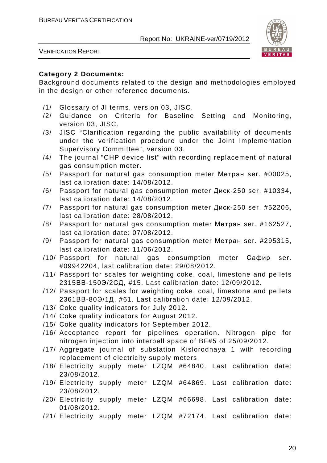

VERIFICATION REPORT

#### **Category 2 Documents:**

Background documents related to the design and methodologies employed in the design or other reference documents.

- /1/ Glossary of JI terms, version 03, JISC.
- /2/ Guidance on Criteria for Baseline Setting and Monitoring, version 03, JISC.
- /3/ JISC "Clarification regarding the public availability of documents under the verification procedure under the Joint Implementation Supervisory Committee", version 03.
- /4/ The journal "CHP device list" with recording replacement of natural gas consumption meter.
- /5/ Passport for natural gas consumption meter Метран ser. #00025, last calibration date: 14/08/2012.
- /6/ Passport for natural gas consumption meter Диск-250 ser. #10334, last calibration date: 14/08/2012.
- /7/ Passport for natural gas consumption meter Диск-250 ser. #52206, last calibration date: 28/08/2012.
- /8/ Passport for natural gas consumption meter Метран ser. #162527, last calibration date: 07/08/2012.
- /9/ Passport for natural gas consumption meter Метран ser. #295315, last calibration date: 11/06/2012.
- /10/ Passport for natural gas consumption meter Сафир ser. #09942204, last calibration date: 29/08/2012.
- /11/ Passport for scales for weighting coke, coal, limestone and pellets 2315ВВ-150Э/2СД, #15. Last calibration date: 12/09/2012.
- /12/ Passport for scales for weighting coke, coal, limestone and pellets 2361ВВ-80Э/1Д, #61. Last calibration date: 12/09/2012.
- /13/ Coke quality indicators for July 2012.
- /14/ Coke quality indicators for August 2012.
- /15/ Coke quality indicators for September 2012.
- /16/ Acceptance report for pipelines operation. Nitrogen pipe for nitrogen injection into interbell space of BF#5 of 25/09/2012.
- /17/ Aggregate journal of substation Kislorodnaya 1 with recording replacement of electricity supply meters.
- /18/ Electricity supply meter LZQM #64840. Last calibration date: 23/08/2012.
- /19/ Electricity supply meter LZQM #64869. Last calibration date: 23/08/2012.
- /20/ Electricity supply meter LZQM #66698. Last calibration date: 01/08/2012.
- /21/ Electricity supply meter LZQM #72174. Last calibration date: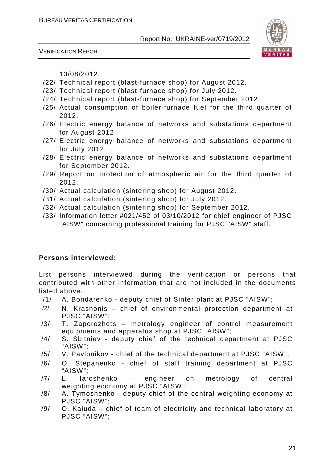



13/08/2012.

- /22/ Technical report (blast-furnace shop) for August 2012.
- /23/ Technical report (blast-furnace shop) for July 2012.
- /24/ Technical report (blast-furnace shop) for September 2012.
- /25/ Actual consumption of boiler-furnace fuel for the third quarter of 2012.
- /26/ Electric energy balance of networks and substations department for August 2012.
- /27/ Electric energy balance of networks and substations department for July 2012.
- /28/ Electric energy balance of networks and substations department for September 2012.
- /29/ Report on protection of atmospheric air for the third quarter of 2012.
- /30/ Actual calculation (sintering shop) for August 2012.
- /31/ Actual calculation (sintering shop) for July 2012.
- /32/ Actual calculation (sintering shop) for September 2012.
- /33/ Information letter #021/452 of 03/10/2012 for chief engineer of PJSC "AISW" concerning professional training for PJSC "AISW" staff.

#### **Persons interviewed:**

List persons interviewed during the verification or persons that contributed with other information that are not included in the documents listed above.

- /1/ A. Bondarenko deputy chief of Sinter plant at PJSC "AISW";
- /2/ N. Krasnonis chief of environmental protection department at PJSC "AISW";
- /3/ T. Zaporozhets metrology engineer of control measurement equipments and apparatus shop at PJSC "AISW";
- /4/ S. Sbitniev deputy chief of the technical department at PJSC "AISW";
- /5/ V. Pavlonikov chief of the technical department at PJSC "AISW";
- /6/ O. Stepanenko chief of staff training department at PJSC "AISW";
- /7/ L. Iaroshenko engineer on metrology of central weighting economy at PJSC "AISW";
- /8/ A. Tymoshenko deputy chief of the central weighting economy at PJSC "AISW";
- /9/ O. Kaiuda chief of team of electricity and technical laboratory at PJSC "AISW";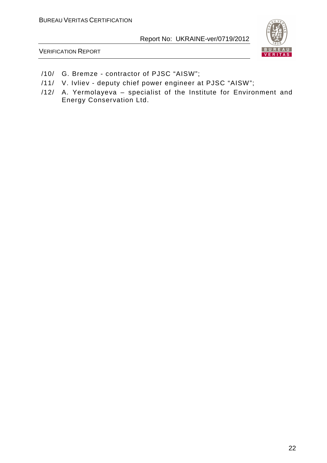

VERIFICATION REPORT

- /10/ G. Bremze contractor of PJSC "AISW";
- /11/ V. Ivliev deputy chief power engineer at PJSC "AISW";
- /12/ A. Yermolayeva specialist of the Institute for Environment and Energy Conservation Ltd.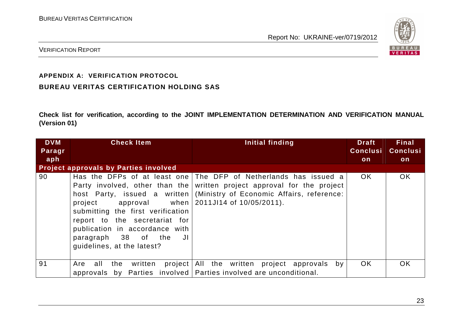

VERIFICATION REPORT

#### **APPENDIX A: VERIFICATION PROTOCOL**

#### **BUREAU VERITAS CERTIFICATION HOLDING SAS**

**Check list for verification, according to the JOINT IMPLEMENTATION DETERMINATION AND VERIFICATION MANUAL (Version 01)** 

| <b>DVM</b> | <b>Check Item</b>                                                                                                                                                                                                                                        | Initial finding                                                                                                                                                                        | Draft           | <b>Final</b>    |
|------------|----------------------------------------------------------------------------------------------------------------------------------------------------------------------------------------------------------------------------------------------------------|----------------------------------------------------------------------------------------------------------------------------------------------------------------------------------------|-----------------|-----------------|
| Paragr     |                                                                                                                                                                                                                                                          |                                                                                                                                                                                        | <b>Conclusi</b> | <b>Conclusi</b> |
| aph        |                                                                                                                                                                                                                                                          |                                                                                                                                                                                        | on              | <b>on</b>       |
|            | Project approvals by Parties involved                                                                                                                                                                                                                    |                                                                                                                                                                                        |                 |                 |
| 90         | Party involved, other than the<br>project approval when $\vert$ 2011J114 of 10/05/2011).<br>submitting the first verification<br>report to the secretariat for<br>publication in accordance with<br>paragraph 38 of the JI<br>guidelines, at the latest? | Has the DFPs of at least one The DFP of Netherlands has issued a<br>written project approval for the project<br>host Party, issued a written (Ministry of Economic Affairs, reference: | OK.             | <b>OK</b>       |
| 91         | all<br>the written<br>Are                                                                                                                                                                                                                                | project All the written project approvals<br>bv<br>approvals by Parties involved   Parties involved are unconditional.                                                                 | OK.             | <b>OK</b>       |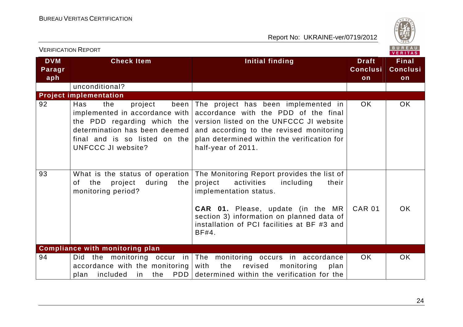

| <b>VERIFICATION REPORT</b>  |                                                                                                                                                                                               |                                                                                                                                                                                                                                                                      |                                       | BUREAU<br><b>VERITAS</b>              |
|-----------------------------|-----------------------------------------------------------------------------------------------------------------------------------------------------------------------------------------------|----------------------------------------------------------------------------------------------------------------------------------------------------------------------------------------------------------------------------------------------------------------------|---------------------------------------|---------------------------------------|
| <b>DVM</b><br>Paragr<br>aph | <b>Check Item</b>                                                                                                                                                                             | <b>Initial finding</b>                                                                                                                                                                                                                                               | <b>Draft</b><br><b>Conclusi</b><br>on | <b>Final</b><br><b>Conclusi</b><br>on |
|                             | unconditional?                                                                                                                                                                                |                                                                                                                                                                                                                                                                      |                                       |                                       |
|                             | <b>Project implementation</b>                                                                                                                                                                 |                                                                                                                                                                                                                                                                      |                                       |                                       |
| 92                          | Has<br>the<br>project<br>been<br>implemented in accordance with<br>the PDD regarding which the<br>determination has been deemed<br>final and is so listed on the<br><b>UNFCCC JI website?</b> | The project has been implemented in<br>accordance with the PDD of the final<br>version listed on the UNFCCC JI website<br>and according to the revised monitoring<br>plan determined within the verification for<br>half-year of 2011.                               | <b>OK</b>                             | <b>OK</b>                             |
| 93                          | What is the status of operation $ $<br>the<br>during<br>of l<br>project<br>the<br>monitoring period?                                                                                          | The Monitoring Report provides the list of<br>activities<br>project<br>including<br>their<br>implementation status.<br><b>CAR 01.</b> Please, update (in the MR<br>section 3) information on planned data of<br>installation of PCI facilities at BF #3 and<br>BF#4. | <b>CAR 01</b>                         | OK.                                   |
|                             | <b>Compliance with monitoring plan</b>                                                                                                                                                        |                                                                                                                                                                                                                                                                      |                                       |                                       |
| 94                          | monitoring occur in<br>Did the<br>accordance with the monitoring<br>included<br>the<br>in l<br>plan                                                                                           | The monitoring occurs in accordance<br>with<br>the<br>revised<br>monitoring<br>plan<br>PDD determined within the verification for the                                                                                                                                | OK.                                   | <b>OK</b>                             |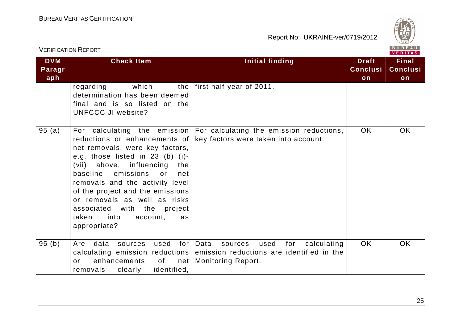

|                             | <b>VERIFICATION REPORT</b>                                                                                                                                                                                                                                                                                                                                                | BUREAU<br>VERITAS                                                                                                                                       |                                       |                                       |  |
|-----------------------------|---------------------------------------------------------------------------------------------------------------------------------------------------------------------------------------------------------------------------------------------------------------------------------------------------------------------------------------------------------------------------|---------------------------------------------------------------------------------------------------------------------------------------------------------|---------------------------------------|---------------------------------------|--|
| <b>DVM</b><br>Paragr<br>aph | <b>Check Item</b>                                                                                                                                                                                                                                                                                                                                                         | Initial finding                                                                                                                                         | <b>Draft</b><br><b>Conclusi</b><br>on | <b>Final</b><br><b>Conclusi</b><br>on |  |
|                             | regarding<br>which<br>determination has been deemed<br>final and is so listed on the<br><b>UNFCCC JI website?</b>                                                                                                                                                                                                                                                         | the $ $ first half-year of 2011.                                                                                                                        |                                       |                                       |  |
| 95(a)                       | reductions or enhancements of<br>net removals, were key factors,<br>e.g. those listed in 23 (b) (i)-<br>(vii) above, influencing<br>the<br>emissions<br>baseline<br>or<br>net<br>removals and the activity level<br>of the project and the emissions<br>or removals as well as risks<br>associated with the<br>project<br>into<br>taken<br>account,<br>as<br>appropriate? | For calculating the emission   For calculating the emission reductions,<br>key factors were taken into account.                                         | OK.                                   | OK                                    |  |
| 95(b)                       | data<br>used<br>for<br>Are<br>sources<br>enhancements<br>0f<br>net<br>or<br>identified,<br>removals<br>clearly                                                                                                                                                                                                                                                            | Data<br>for<br>calculating<br>used<br>sources<br>calculating emission reductions emission reductions are identified in the<br><b>Monitoring Report.</b> | OK.                                   | <b>OK</b>                             |  |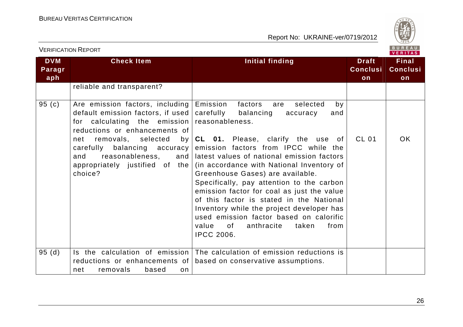

|                             | <b>VERIFICATION REPORT</b>                                                                                                                                                                                                                                                          |                                                                                                                                                                                                                                                                                                                                                                                                                                                                                                                                                                                                                               |                                       | BUREAU<br><b>VERITAS</b>              |
|-----------------------------|-------------------------------------------------------------------------------------------------------------------------------------------------------------------------------------------------------------------------------------------------------------------------------------|-------------------------------------------------------------------------------------------------------------------------------------------------------------------------------------------------------------------------------------------------------------------------------------------------------------------------------------------------------------------------------------------------------------------------------------------------------------------------------------------------------------------------------------------------------------------------------------------------------------------------------|---------------------------------------|---------------------------------------|
| <b>DVM</b><br>Paragr<br>aph | <b>Check Item</b>                                                                                                                                                                                                                                                                   | <b>Initial finding</b>                                                                                                                                                                                                                                                                                                                                                                                                                                                                                                                                                                                                        | <b>Draft</b><br><b>Conclusi</b><br>on | <b>Final</b><br><b>Conclusi</b><br>on |
|                             | reliable and transparent?                                                                                                                                                                                                                                                           |                                                                                                                                                                                                                                                                                                                                                                                                                                                                                                                                                                                                                               |                                       |                                       |
| 95(c)                       | Are emission factors, including<br>default emission factors, if used<br>for calculating the emission<br>reductions or enhancements of<br>removals, selected<br>net<br>balancing accuracy<br>carefully<br>reasonableness,<br>and<br>and<br>appropriately justified of the<br>choice? | Emission<br>factors<br>selected<br>are<br>by<br>carefully<br>balancing<br>accuracy<br>and<br>reasonableness.<br>by CL 01. Please, clarify the use of<br>emission factors from IPCC while the<br>latest values of national emission factors<br>(in accordance with National Inventory of<br>Greenhouse Gases) are available.<br>Specifically, pay attention to the carbon<br>emission factor for coal as just the value<br>of this factor is stated in the National<br>Inventory while the project developer has<br>used emission factor based on calorific<br>value<br>anthracite<br>taken<br>from<br>of<br><b>IPCC 2006.</b> | <b>CL 01</b>                          | OK.                                   |
| 95(d)                       | reductions or enhancements of<br>removals<br>based<br>net<br>on                                                                                                                                                                                                                     | Is the calculation of emission The calculation of emission reductions is<br>based on conservative assumptions.                                                                                                                                                                                                                                                                                                                                                                                                                                                                                                                |                                       |                                       |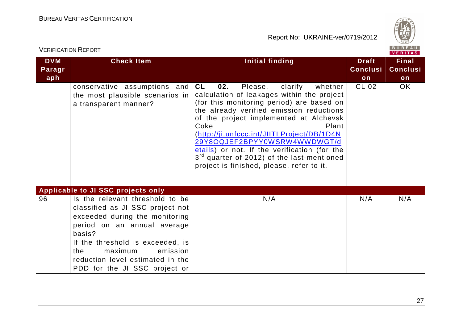

| <b>DVM</b> | <b>Check Item</b>                                                                                                                                                                                                                                                                     | <b>Initial finding</b>                                                                                                                                                                                                                                                                                                                                                                                                                                                                   | <b>Draft</b>    | <b>Final</b>    |
|------------|---------------------------------------------------------------------------------------------------------------------------------------------------------------------------------------------------------------------------------------------------------------------------------------|------------------------------------------------------------------------------------------------------------------------------------------------------------------------------------------------------------------------------------------------------------------------------------------------------------------------------------------------------------------------------------------------------------------------------------------------------------------------------------------|-----------------|-----------------|
| Paragr     |                                                                                                                                                                                                                                                                                       |                                                                                                                                                                                                                                                                                                                                                                                                                                                                                          | <b>Conclusi</b> | <b>Conclusi</b> |
| aph        |                                                                                                                                                                                                                                                                                       |                                                                                                                                                                                                                                                                                                                                                                                                                                                                                          | on              | on              |
|            | conservative assumptions and<br>the most plausible scenarios in<br>a transparent manner?                                                                                                                                                                                              | <b>CL</b><br>02.<br>Please,<br>clarify<br>whether<br>calculation of leakages within the project<br>(for this monitoring period) are based on<br>the already verified emission reductions<br>of the project implemented at Alchevsk<br>Coke<br>Plant<br>(http://ji.unfccc.int/JIITLProject/DB/1D4N<br>29Y8OQJEF2BPYY0WSRW4WWDWGT/d<br>etails) or not. If the verification (for the<br>3 <sup>rd</sup> quarter of 2012) of the last-mentioned<br>project is finished, please, refer to it. | <b>CL 02</b>    | OK.             |
|            | Applicable to JI SSC projects only                                                                                                                                                                                                                                                    |                                                                                                                                                                                                                                                                                                                                                                                                                                                                                          |                 |                 |
| 96         | Is the relevant threshold to be<br>classified as JI SSC project not<br>exceeded during the monitoring<br>period on an annual average<br>basis?<br>If the threshold is exceeded, is<br>emission<br>maximum<br>the<br>reduction level estimated in the<br>PDD for the JI SSC project or | N/A                                                                                                                                                                                                                                                                                                                                                                                                                                                                                      | N/A             | N/A             |

VERIFICATION REPORT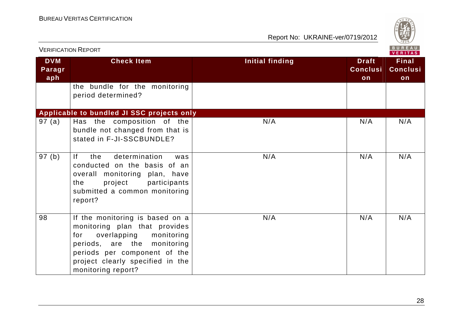

|                             | <b>VERIFICATION REPORT</b>                                                                                                                                                                                                 |                        |                                       | <b>BUREAU</b><br><b>VERITAS</b>       |
|-----------------------------|----------------------------------------------------------------------------------------------------------------------------------------------------------------------------------------------------------------------------|------------------------|---------------------------------------|---------------------------------------|
| <b>DVM</b><br>Paragr<br>aph | <b>Check Item</b>                                                                                                                                                                                                          | <b>Initial finding</b> | <b>Draft</b><br><b>Conclusi</b><br>on | <b>Final</b><br><b>Conclusi</b><br>on |
|                             | the bundle for the monitoring<br>period determined?                                                                                                                                                                        |                        |                                       |                                       |
|                             | Applicable to bundled JI SSC projects only                                                                                                                                                                                 |                        |                                       |                                       |
| 97(a)                       | Has the composition of the<br>bundle not changed from that is<br>stated in F-JI-SSCBUNDLE?                                                                                                                                 | N/A                    | N/A                                   | N/A                                   |
| 97(b)                       | determination<br> f <br>the<br>was<br>conducted on the basis of an<br>overall monitoring plan, have<br>the<br>project participants<br>submitted a common monitoring<br>report?                                             | N/A                    | N/A                                   | N/A                                   |
| 98                          | If the monitoring is based on a<br>monitoring plan that provides<br>overlapping monitoring<br>for<br>periods, are the monitoring<br>periods per component of the<br>project clearly specified in the<br>monitoring report? | N/A                    | N/A                                   | N/A                                   |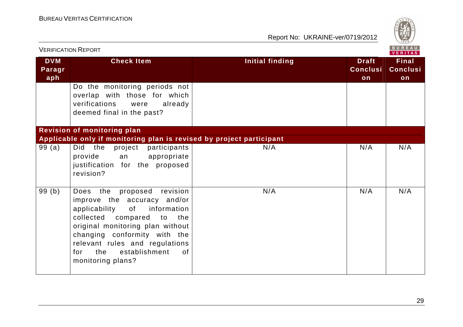

| <b>VERIFICATION REPORT</b>  |                                                                                                                                                                                                                                                                                                       |                        |                                       |                                       |
|-----------------------------|-------------------------------------------------------------------------------------------------------------------------------------------------------------------------------------------------------------------------------------------------------------------------------------------------------|------------------------|---------------------------------------|---------------------------------------|
| <b>DVM</b><br>Paragr<br>aph | <b>Check Item</b>                                                                                                                                                                                                                                                                                     | <b>Initial finding</b> | <b>Draft</b><br><b>Conclusi</b><br>on | <b>Final</b><br><b>Conclusi</b><br>on |
|                             | Do the monitoring periods not<br>overlap with those for which<br>verifications<br>already<br>were<br>deemed final in the past?                                                                                                                                                                        |                        |                                       |                                       |
|                             | <b>Revision of monitoring plan</b>                                                                                                                                                                                                                                                                    |                        |                                       |                                       |
|                             | Applicable only if monitoring plan is revised by project participant                                                                                                                                                                                                                                  |                        |                                       |                                       |
| 99(a)                       | Did the project participants<br>provide<br>appropriate<br>an<br>justification for the proposed<br>revision?                                                                                                                                                                                           | N/A                    | N/A                                   | N/A                                   |
| 99(b)                       | proposed revision<br>Does the<br>improve the accuracy and/or<br>applicability<br>of<br>information<br>collected compared<br>the<br>to<br>original monitoring plan without<br>changing conformity with the<br>relevant rules and regulations<br>the<br>establishment<br>for<br>of<br>monitoring plans? | N/A                    | N/A                                   | N/A                                   |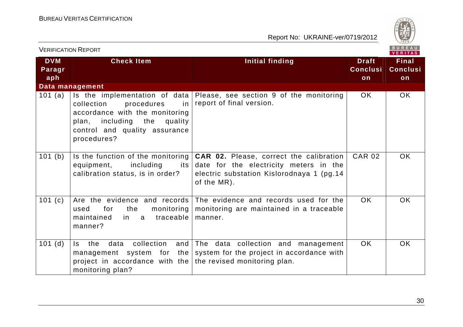

| <b>VERIFICATION REPORT</b>  |                                                                                                                                                                                      |                                                                                                                                                       |                                       |                                       |
|-----------------------------|--------------------------------------------------------------------------------------------------------------------------------------------------------------------------------------|-------------------------------------------------------------------------------------------------------------------------------------------------------|---------------------------------------|---------------------------------------|
| <b>DVM</b><br>Paragr<br>aph | <b>Check Item</b>                                                                                                                                                                    | <b>Initial finding</b>                                                                                                                                | <b>Draft</b><br><b>Conclusi</b><br>on | <b>Final</b><br><b>Conclusi</b><br>on |
|                             | Data management                                                                                                                                                                      |                                                                                                                                                       |                                       |                                       |
| 101 $(a)$                   | Is the implementation of data<br>procedures<br>collection<br>in.<br>accordance with the monitoring<br>plan, including the<br>quality<br>control and quality assurance<br>procedures? | Please, see section 9 of the monitoring<br>report of final version.                                                                                   | OK.                                   | OK.                                   |
| 101 (b)                     | Is the function of the monitoring<br>equipment,<br>including<br>its<br>calibration status, is in order?                                                                              | <b>CAR 02.</b> Please, correct the calibration<br>date for the electricity meters in the<br>electric substation Kislorodnaya 1 (pg.14)<br>of the MR). | <b>CAR 02</b>                         | OK.                                   |
| 101(c)                      | Are the evidence and records<br>monitoring<br>for<br>the<br>used<br>maintained<br>traceable<br>in.<br>a a<br>manner?                                                                 | The evidence and records used for the<br>monitoring are maintained in a traceable<br>manner.                                                          | OK.                                   | OK.                                   |
| $101$ (d)                   | collection<br>the<br>data<br>and<br>$\mathsf{ls}$<br>management system for the<br>project in accordance with the<br>monitoring plan?                                                 | The data collection and management<br>system for the project in accordance with<br>the revised monitoring plan.                                       | OK.                                   | OK.                                   |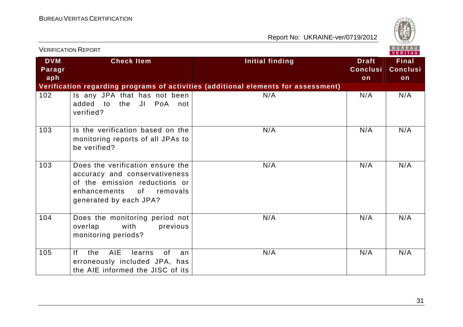

|                             | <b>VERIFICATION REPORT</b>                                                                                                                                     | <b>BUREAU</b><br>VERITAS                                                           |                                       |                                       |
|-----------------------------|----------------------------------------------------------------------------------------------------------------------------------------------------------------|------------------------------------------------------------------------------------|---------------------------------------|---------------------------------------|
| <b>DVM</b><br>Paragr<br>aph | <b>Check Item</b>                                                                                                                                              | <b>Initial finding</b>                                                             | <b>Draft</b><br><b>Conclusi</b><br>on | <b>Final</b><br><b>Conclusi</b><br>on |
|                             |                                                                                                                                                                | Verification regarding programs of activities (additional elements for assessment) |                                       |                                       |
| 102                         | Is any JPA that has not been<br>JI PoA<br>added<br>to the<br>not<br>verified?                                                                                  | N/A                                                                                | N/A                                   | N/A                                   |
| 103                         | Is the verification based on the<br>monitoring reports of all JPAs to<br>be verified?                                                                          | N/A                                                                                | N/A                                   | N/A                                   |
| 103                         | Does the verification ensure the<br>accuracy and conservativeness<br>of the emission reductions or<br>enhancements<br>of<br>removals<br>generated by each JPA? | N/A                                                                                | N/A                                   | N/A                                   |
| 104                         | Does the monitoring period not<br>overlap<br>with<br>previous<br>monitoring periods?                                                                           | N/A                                                                                | N/A                                   | N/A                                   |
| 105                         | <b>AIE</b><br>the<br>Ιf<br>learns<br>0f<br>an<br>erroneously included JPA, has<br>the AIE informed the JISC of its                                             | N/A                                                                                | N/A                                   | N/A                                   |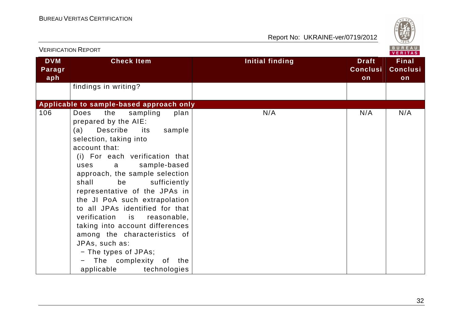



| <b>VERIFICATION REPORT</b>  |                                                                                                                                                                                                                                                                                                                                                                                                                                                                                                                                                                                |                        | <b>BUREAU</b><br><b>VERITAS</b>       |                                       |
|-----------------------------|--------------------------------------------------------------------------------------------------------------------------------------------------------------------------------------------------------------------------------------------------------------------------------------------------------------------------------------------------------------------------------------------------------------------------------------------------------------------------------------------------------------------------------------------------------------------------------|------------------------|---------------------------------------|---------------------------------------|
| <b>DVM</b><br>Paragr<br>aph | <b>Check Item</b>                                                                                                                                                                                                                                                                                                                                                                                                                                                                                                                                                              | <b>Initial finding</b> | <b>Draft</b><br><b>Conclusi</b><br>on | <b>Final</b><br><b>Conclusi</b><br>on |
|                             | findings in writing?                                                                                                                                                                                                                                                                                                                                                                                                                                                                                                                                                           |                        |                                       |                                       |
|                             | Applicable to sample-based approach only                                                                                                                                                                                                                                                                                                                                                                                                                                                                                                                                       |                        |                                       |                                       |
| 106                         | Does<br>the<br>sampling<br>plan<br>prepared by the AIE:<br>Describe<br>sample<br>(a)<br>its<br>selection, taking into<br>account that:<br>(i) For each verification that<br>sample-based<br>uses<br>a<br>approach, the sample selection<br>shall<br>be<br>sufficiently<br>representative of the JPAs in<br>the JI PoA such extrapolation<br>to all JPAs identified for that<br>verification is reasonable,<br>taking into account differences<br>among the characteristics of<br>JPAs, such as:<br>- The types of JPAs;<br>The complexity of the<br>applicable<br>technologies | N/A                    | N/A                                   | N/A                                   |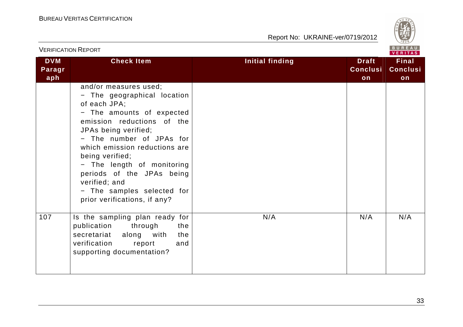

| <b>VERIFICATION REPORT</b>  |                                                                                                                                                                                                                                                                                                                                                                                   |                        |                                       | BUREAU<br>VERITAS                     |
|-----------------------------|-----------------------------------------------------------------------------------------------------------------------------------------------------------------------------------------------------------------------------------------------------------------------------------------------------------------------------------------------------------------------------------|------------------------|---------------------------------------|---------------------------------------|
| <b>DVM</b><br>Paragr<br>aph | <b>Check Item</b>                                                                                                                                                                                                                                                                                                                                                                 | <b>Initial finding</b> | <b>Draft</b><br><b>Conclusi</b><br>on | <b>Final</b><br><b>Conclusi</b><br>on |
|                             | and/or measures used;<br>- The geographical location<br>of each JPA;<br>- The amounts of expected<br>emission reductions of the<br>JPAs being verified;<br>- The number of JPAs for<br>which emission reductions are<br>being verified;<br>- The length of monitoring<br>periods of the JPAs being<br>verified; and<br>- The samples selected for<br>prior verifications, if any? |                        |                                       |                                       |
| 107                         | Is the sampling plan ready for<br>publication<br>through<br>the<br>along with<br>the<br>secretariat<br>verification<br>report<br>and<br>supporting documentation?                                                                                                                                                                                                                 | N/A                    | N/A                                   | N/A                                   |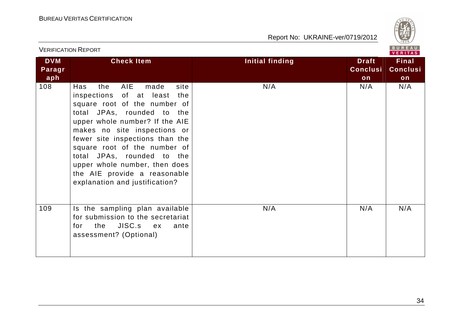

|                             | <b>VERIFICATION REPORT</b>                                                                                                                                                                                                                                                                                                                                                                           |                 |                                       | BUREAU<br>VERITAS                     |
|-----------------------------|------------------------------------------------------------------------------------------------------------------------------------------------------------------------------------------------------------------------------------------------------------------------------------------------------------------------------------------------------------------------------------------------------|-----------------|---------------------------------------|---------------------------------------|
| <b>DVM</b><br>Paragr<br>aph | <b>Check Item</b>                                                                                                                                                                                                                                                                                                                                                                                    | Initial finding | <b>Draft</b><br><b>Conclusi</b><br>on | <b>Final</b><br><b>Conclusi</b><br>on |
| 108                         | AIE<br>Has<br>the<br>made<br>site<br>inspections of at least the<br>square root of the number of<br>total JPAs, rounded to the<br>upper whole number? If the AIE<br>makes no site inspections or<br>fewer site inspections than the<br>square root of the number of<br>total JPAs, rounded to the<br>upper whole number, then does<br>the AIE provide a reasonable<br>explanation and justification? | N/A             | N/A                                   | N/A                                   |
| 109                         | Is the sampling plan available<br>for submission to the secretariat<br>for the JISC.s ex<br>ante<br>assessment? (Optional)                                                                                                                                                                                                                                                                           | N/A             | N/A                                   | N/A                                   |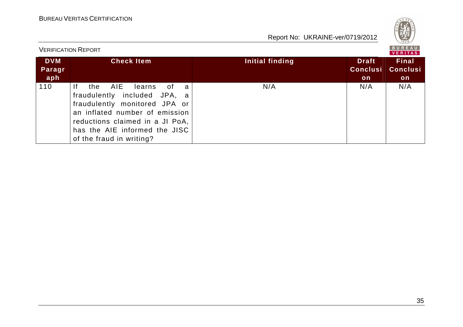

| <b>VERIFICATION REPORT</b>  |                                                                                                                                                                                                                                             |                 |                                              |                                        |
|-----------------------------|---------------------------------------------------------------------------------------------------------------------------------------------------------------------------------------------------------------------------------------------|-----------------|----------------------------------------------|----------------------------------------|
| <b>DVM</b><br>Paragr<br>aph | <b>Check Item</b>                                                                                                                                                                                                                           | Initial finding | <b>Draft</b><br><b>Conclusi</b><br><b>on</b> | <b>Final</b><br><b>Conclusi</b><br>on. |
| 110                         | AIE<br>the<br>-lf<br>learns<br>of<br>- a<br>fraudulently included JPA, a<br>fraudulently monitored JPA or<br>an inflated number of emission<br>reductions claimed in a JI PoA,<br>has the AIE informed the JISC<br>of the fraud in writing? | N/A             | N/A                                          | N/A                                    |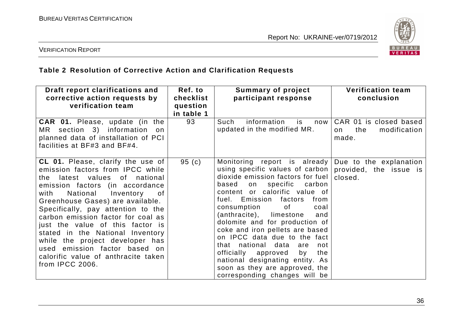

#### VERIFICATION REPORT

## **Table 2 Resolution of Corrective Action and Clarification Requests**

| Draft report clarifications and<br>corrective action requests by<br>verification team                                                                                                                                                                                                                                                                                                                                                                                                                          | Ref. to<br>checklist<br>question<br>in table 1 | <b>Summary of project</b><br>participant response                                                                                                                                                                                                                                                                                                                                                                                                                                                                                                                                                                       | <b>Verification team</b><br>conclusion                       |
|----------------------------------------------------------------------------------------------------------------------------------------------------------------------------------------------------------------------------------------------------------------------------------------------------------------------------------------------------------------------------------------------------------------------------------------------------------------------------------------------------------------|------------------------------------------------|-------------------------------------------------------------------------------------------------------------------------------------------------------------------------------------------------------------------------------------------------------------------------------------------------------------------------------------------------------------------------------------------------------------------------------------------------------------------------------------------------------------------------------------------------------------------------------------------------------------------------|--------------------------------------------------------------|
| <b>CAR 01.</b> Please, update (in the<br>MR section 3) information on<br>planned data of installation of PCI<br>facilities at BF#3 and BF#4.                                                                                                                                                                                                                                                                                                                                                                   | 93                                             | information<br>Such<br>is<br>now<br>updated in the modified MR.                                                                                                                                                                                                                                                                                                                                                                                                                                                                                                                                                         | CAR 01 is closed based<br>the<br>modification<br>on<br>made. |
| <b>CL 01.</b> Please, clarify the use of<br>emission factors from IPCC while<br>the latest values of national<br>emission factors (in accordance<br>National<br>with<br>Inventory<br>.of<br>Greenhouse Gases) are available.<br>Specifically, pay attention to the<br>carbon emission factor for coal as<br>just the value of this factor is<br>stated in the National Inventory<br>while the project developer has<br>used emission factor based on<br>calorific value of anthracite taken<br>from IPCC 2006. | 95(c)                                          | Monitoring report is already Due to the explanation<br>using specific values of carbon   provided, the issue is<br>dioxide emission factors for fuel<br>specific carbon<br>based<br>on<br>content or calorific value of<br>fuel. Emission factors<br>from<br>consumption<br>of the control<br>coal<br>(anthracite), limestone<br>and<br>dolomite and for production of<br>coke and iron pellets are based<br>on IPCC data due to the fact<br>that national data<br>are<br>not<br>officially approved<br>the<br>by<br>national designating entity. As<br>soon as they are approved, the<br>corresponding changes will be | closed.                                                      |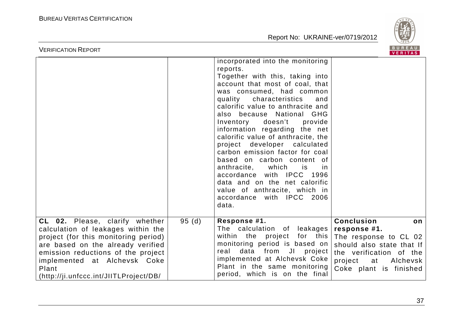

| incorporated into the monitoring                                                                                       |                                                                                                                                                                                                                                                                                                                                                                                                                                                                                                                                                                                                                                                                                                  |
|------------------------------------------------------------------------------------------------------------------------|--------------------------------------------------------------------------------------------------------------------------------------------------------------------------------------------------------------------------------------------------------------------------------------------------------------------------------------------------------------------------------------------------------------------------------------------------------------------------------------------------------------------------------------------------------------------------------------------------------------------------------------------------------------------------------------------------|
| reports.<br>quality<br>characteristics<br>doesn't<br>Inventory<br>which<br>anthracite,<br>is is<br>accordance<br>data. |                                                                                                                                                                                                                                                                                                                                                                                                                                                                                                                                                                                                                                                                                                  |
| Response #1.<br>within the project<br>real                                                                             | <b>Conclusion</b><br>on<br>response #1.<br>The response to CL 02<br>should also state that If<br>the verification of the<br>project at<br>Alchevsk<br>Coke plant is finished                                                                                                                                                                                                                                                                                                                                                                                                                                                                                                                     |
|                                                                                                                        | Together with this, taking into<br>account that most of coal, that<br>was consumed, had common<br>and<br>calorific value to anthracite and<br>also because National GHG<br>provide<br>information regarding the net<br>calorific value of anthracite, the<br>project developer calculated<br>carbon emission factor for coal<br>based on carbon content of<br>.in<br>with IPCC 1996<br>data and on the net calorific<br>value of anthracite, which in<br>accordance with IPCC 2006<br>95(d)<br>The calculation of leakages<br>for this<br>monitoring period is based on<br>data from JI project<br>implemented at Alchevsk Coke<br>Plant in the same monitoring<br>period, which is on the final |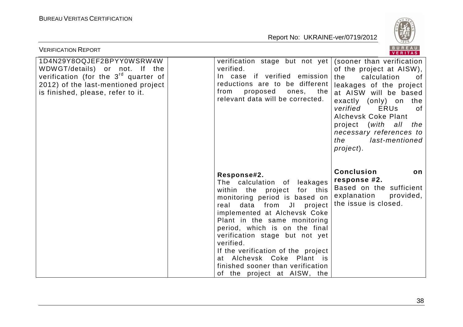

| <b>VERIFICATION REPORT</b>                                                                                                                                                                 |                                                                                                                                                                                                                                                                                                                                                                                                                                               | <b>BUREAU</b><br><b>VERITAS</b>                                                                                                                                                                                                                                                                                                    |
|--------------------------------------------------------------------------------------------------------------------------------------------------------------------------------------------|-----------------------------------------------------------------------------------------------------------------------------------------------------------------------------------------------------------------------------------------------------------------------------------------------------------------------------------------------------------------------------------------------------------------------------------------------|------------------------------------------------------------------------------------------------------------------------------------------------------------------------------------------------------------------------------------------------------------------------------------------------------------------------------------|
| 1D4N29Y8OQJEF2BPYY0WSRW4W<br>WDWGT/details) or not. If the<br>verification (for the 3 <sup>rd</sup> quarter of<br>2012) of the last-mentioned project<br>is finished, please, refer to it. | verification stage but not yet<br>verified.<br>In case if verified emission<br>reductions are to be different<br>from<br>proposed<br>the<br>ones,<br>relevant data will be corrected.                                                                                                                                                                                                                                                         | (sooner than verification<br>of the project at AISW),<br>the<br>calculation<br>of<br>leakages of the project<br>at AISW will be based<br>exactly (only) on the<br>verified<br><b>ERUs</b><br>0f<br><b>Alchevsk Coke Plant</b><br>project ( <i>with</i><br>all the<br>necessary references to<br>the<br>last-mentioned<br>project). |
|                                                                                                                                                                                            | Response#2.<br>The calculation of<br>leakages<br>for this<br>within the<br>project<br>monitoring period is based on<br>data from JI<br>project<br>real<br>implemented at Alchevsk Coke<br>Plant in the same monitoring<br>period, which is on the final<br>verification stage but not yet<br>verified.<br>If the verification of the project<br>at Alchevsk Coke Plant is<br>finished sooner than verification<br>of the project at AISW, the | <b>Conclusion</b><br>on<br>response #2.<br>Based on the sufficient<br>explanation<br>provided,<br>the issue is closed.                                                                                                                                                                                                             |